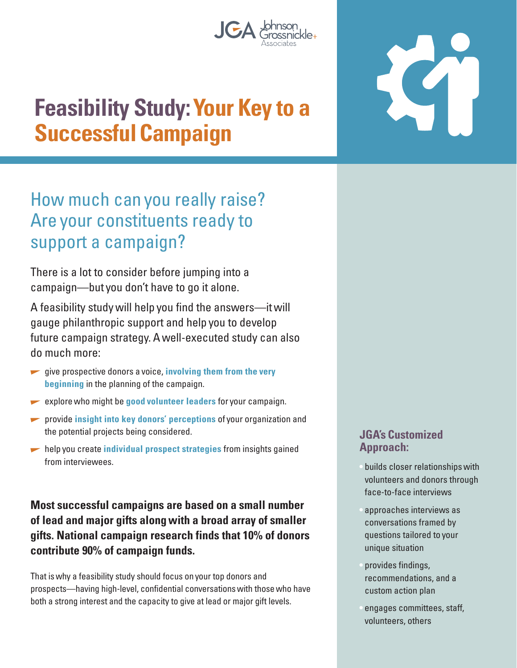

# **Feasibility Study: Your Key to a Successful Campaign**

## How much can you really raise? Are your constituents ready to support a campaign?

There is a lot to consider before jumping into a campaign—but you don't have to go it alone.

A feasibility study will help you find the answers—it will gauge philanthropic support and help you to develop future campaign strategy. A well-executed study can also do much more:

- *z* give prospective donors a voice, **involving them from the very beginning** in the planning of the campaign.
- **explore who might be good volunteer leaders** for your campaign.
- **•** provide *insight into key donors' perceptions* of your organization and the potential projects being considered.
- **help you create individual prospect strategies** from insights gained from interviewees.

**Most successful campaigns are based on a small number of lead and major gifts along with a broad array of smaller gifts. National campaign research finds that 10% of donors contribute 90% of campaign funds.** 

That is why a feasibility study should focus on your top donors and prospects—having high-level, confidential conversations with those who have both a strong interest and the capacity to give at lead or major gift levels.

#### **JGA's Customized Approach:**

• builds closer relationships with volunteers and donors through face-to-face interviews

- approaches interviews as conversations framed by questions tailored to your unique situation
- provides findings, recommendations, and a custom action plan
- engages committees, staff, volunteers, others